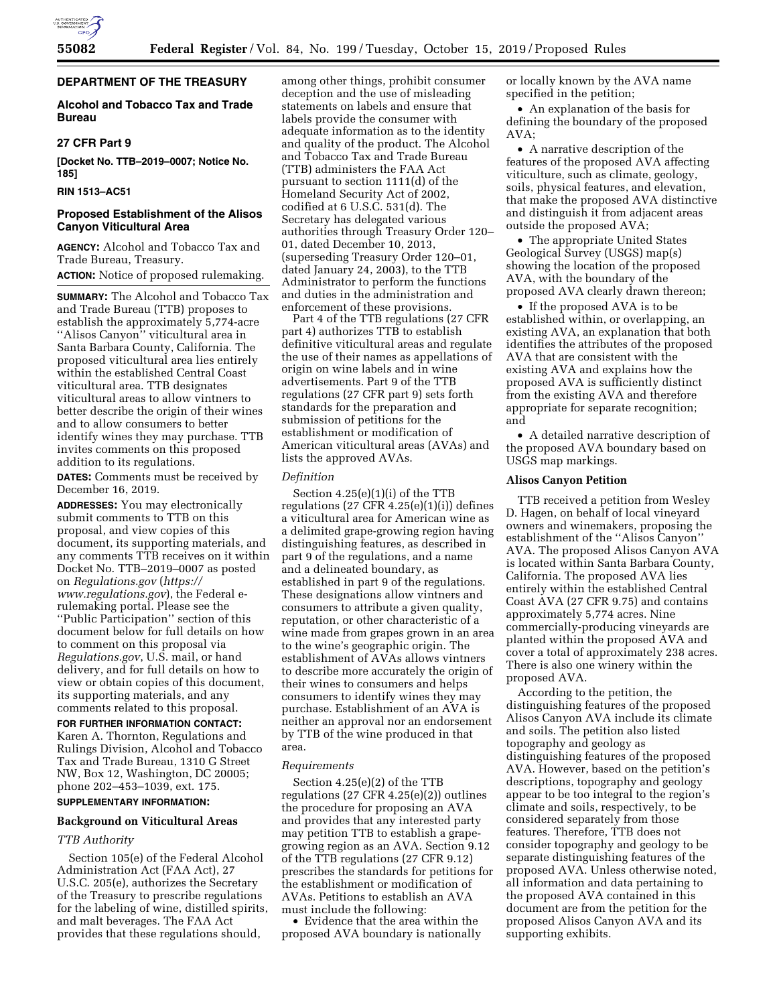

## **DEPARTMENT OF THE TREASURY**

## **Alcohol and Tobacco Tax and Trade Bureau**

## **27 CFR Part 9**

**[Docket No. TTB–2019–0007; Notice No. 185]** 

## **RIN 1513–AC51**

## **Proposed Establishment of the Alisos Canyon Viticultural Area**

**AGENCY:** Alcohol and Tobacco Tax and Trade Bureau, Treasury.

## **ACTION:** Notice of proposed rulemaking.

**SUMMARY:** The Alcohol and Tobacco Tax and Trade Bureau (TTB) proposes to establish the approximately 5,774-acre ''Alisos Canyon'' viticultural area in Santa Barbara County, California. The proposed viticultural area lies entirely within the established Central Coast viticultural area. TTB designates viticultural areas to allow vintners to better describe the origin of their wines and to allow consumers to better identify wines they may purchase. TTB invites comments on this proposed addition to its regulations.

**DATES:** Comments must be received by December 16, 2019.

**ADDRESSES:** You may electronically submit comments to TTB on this proposal, and view copies of this document, its supporting materials, and any comments TTB receives on it within Docket No. TTB–2019–0007 as posted on *Regulations.gov* (*[https://](https://www.regulations.gov) [www.regulations.gov](https://www.regulations.gov)*), the Federal erulemaking portal. Please see the ''Public Participation'' section of this document below for full details on how to comment on this proposal via *Regulations.gov*, U.S. mail, or hand delivery, and for full details on how to view or obtain copies of this document, its supporting materials, and any comments related to this proposal.

# **FOR FURTHER INFORMATION CONTACT:**

Karen A. Thornton, Regulations and Rulings Division, Alcohol and Tobacco Tax and Trade Bureau, 1310 G Street NW, Box 12, Washington, DC 20005; phone 202–453–1039, ext. 175.

## **SUPPLEMENTARY INFORMATION:**

## **Background on Viticultural Areas**

### *TTB Authority*

Section 105(e) of the Federal Alcohol Administration Act (FAA Act), 27 U.S.C. 205(e), authorizes the Secretary of the Treasury to prescribe regulations for the labeling of wine, distilled spirits, and malt beverages. The FAA Act provides that these regulations should,

among other things, prohibit consumer deception and the use of misleading statements on labels and ensure that labels provide the consumer with adequate information as to the identity and quality of the product. The Alcohol and Tobacco Tax and Trade Bureau (TTB) administers the FAA Act pursuant to section 1111(d) of the Homeland Security Act of 2002, codified at 6 U.S.C. 531(d). The Secretary has delegated various authorities through Treasury Order 120– 01, dated December 10, 2013, (superseding Treasury Order 120–01, dated January 24, 2003), to the TTB Administrator to perform the functions and duties in the administration and enforcement of these provisions.

Part 4 of the TTB regulations (27 CFR part 4) authorizes TTB to establish definitive viticultural areas and regulate the use of their names as appellations of origin on wine labels and in wine advertisements. Part 9 of the TTB regulations (27 CFR part 9) sets forth standards for the preparation and submission of petitions for the establishment or modification of American viticultural areas (AVAs) and lists the approved AVAs.

#### *Definition*

Section 4.25(e)(1)(i) of the TTB regulations  $(27 \text{ CFR } 4.25(e)(1)(i))$  defines a viticultural area for American wine as a delimited grape-growing region having distinguishing features, as described in part 9 of the regulations, and a name and a delineated boundary, as established in part 9 of the regulations. These designations allow vintners and consumers to attribute a given quality, reputation, or other characteristic of a wine made from grapes grown in an area to the wine's geographic origin. The establishment of AVAs allows vintners to describe more accurately the origin of their wines to consumers and helps consumers to identify wines they may purchase. Establishment of an AVA is neither an approval nor an endorsement by TTB of the wine produced in that area.

#### *Requirements*

Section 4.25(e)(2) of the TTB regulations (27 CFR 4.25(e)(2)) outlines the procedure for proposing an AVA and provides that any interested party may petition TTB to establish a grapegrowing region as an AVA. Section 9.12 of the TTB regulations (27 CFR 9.12) prescribes the standards for petitions for the establishment or modification of AVAs. Petitions to establish an AVA must include the following:

• Evidence that the area within the proposed AVA boundary is nationally or locally known by the AVA name specified in the petition;

• An explanation of the basis for defining the boundary of the proposed AVA;

• A narrative description of the features of the proposed AVA affecting viticulture, such as climate, geology, soils, physical features, and elevation, that make the proposed AVA distinctive and distinguish it from adjacent areas outside the proposed AVA;

• The appropriate United States Geological Survey (USGS) map(s) showing the location of the proposed AVA, with the boundary of the proposed AVA clearly drawn thereon;

• If the proposed AVA is to be established within, or overlapping, an existing AVA, an explanation that both identifies the attributes of the proposed AVA that are consistent with the existing AVA and explains how the proposed AVA is sufficiently distinct from the existing AVA and therefore appropriate for separate recognition; and

• A detailed narrative description of the proposed AVA boundary based on USGS map markings.

# **Alisos Canyon Petition**

TTB received a petition from Wesley D. Hagen, on behalf of local vineyard owners and winemakers, proposing the establishment of the ''Alisos Canyon'' AVA. The proposed Alisos Canyon AVA is located within Santa Barbara County, California. The proposed AVA lies entirely within the established Central Coast AVA (27 CFR 9.75) and contains approximately 5,774 acres. Nine commercially-producing vineyards are planted within the proposed AVA and cover a total of approximately 238 acres. There is also one winery within the proposed AVA.

According to the petition, the distinguishing features of the proposed Alisos Canyon AVA include its climate and soils. The petition also listed topography and geology as distinguishing features of the proposed AVA. However, based on the petition's descriptions, topography and geology appear to be too integral to the region's climate and soils, respectively, to be considered separately from those features. Therefore, TTB does not consider topography and geology to be separate distinguishing features of the proposed AVA. Unless otherwise noted, all information and data pertaining to the proposed AVA contained in this document are from the petition for the proposed Alisos Canyon AVA and its supporting exhibits.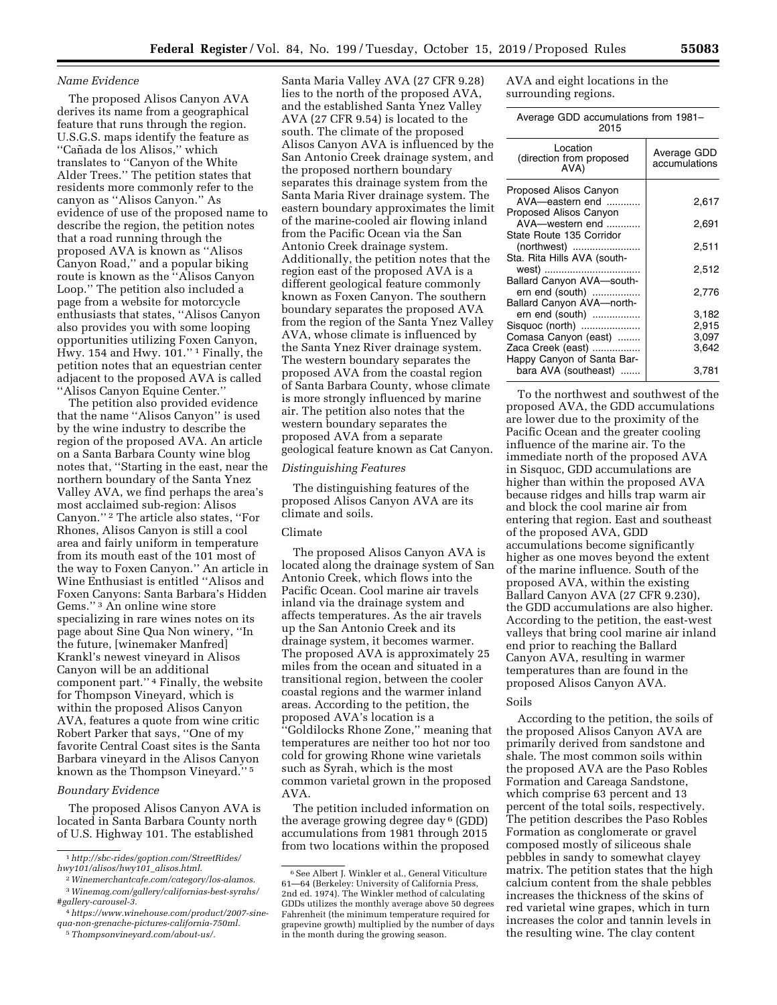#### *Name Evidence*

The proposed Alisos Canyon AVA derives its name from a geographical feature that runs through the region. U.S.G.S. maps identify the feature as "Cañada de los Alisos," which translates to ''Canyon of the White Alder Trees.'' The petition states that residents more commonly refer to the canyon as ''Alisos Canyon.'' As evidence of use of the proposed name to describe the region, the petition notes that a road running through the proposed AVA is known as ''Alisos Canyon Road,'' and a popular biking route is known as the ''Alisos Canyon Loop.'' The petition also included a page from a website for motorcycle enthusiasts that states, ''Alisos Canyon also provides you with some looping opportunities utilizing Foxen Canyon, Hwy. 154 and Hwy.  $101.^{"1}$  Finally, the petition notes that an equestrian center adjacent to the proposed AVA is called ''Alisos Canyon Equine Center.''

The petition also provided evidence that the name ''Alisos Canyon'' is used by the wine industry to describe the region of the proposed AVA. An article on a Santa Barbara County wine blog notes that, ''Starting in the east, near the northern boundary of the Santa Ynez Valley AVA, we find perhaps the area's most acclaimed sub-region: Alisos Canyon.'' 2 The article also states, ''For Rhones, Alisos Canyon is still a cool area and fairly uniform in temperature from its mouth east of the 101 most of the way to Foxen Canyon.'' An article in Wine Enthusiast is entitled ''Alisos and Foxen Canyons: Santa Barbara's Hidden Gems.'' 3 An online wine store specializing in rare wines notes on its page about Sine Qua Non winery, ''In the future, [winemaker Manfred] Krankl's newest vineyard in Alisos Canyon will be an additional component part.'' 4 Finally, the website for Thompson Vineyard, which is within the proposed Alisos Canyon AVA, features a quote from wine critic Robert Parker that says, ''One of my favorite Central Coast sites is the Santa Barbara vineyard in the Alisos Canyon known as the Thompson Vineyard.'' 5

#### *Boundary Evidence*

The proposed Alisos Canyon AVA is located in Santa Barbara County north of U.S. Highway 101. The established

5*[Thompsonvineyard.com/about-us/.](http://www.Thompsonvineyard.com/about-us/)* 

Santa Maria Valley AVA (27 CFR 9.28) lies to the north of the proposed AVA, and the established Santa Ynez Valley AVA (27 CFR 9.54) is located to the south. The climate of the proposed Alisos Canyon AVA is influenced by the San Antonio Creek drainage system, and the proposed northern boundary separates this drainage system from the Santa Maria River drainage system. The eastern boundary approximates the limit of the marine-cooled air flowing inland from the Pacific Ocean via the San Antonio Creek drainage system. Additionally, the petition notes that the region east of the proposed AVA is a different geological feature commonly known as Foxen Canyon. The southern boundary separates the proposed AVA from the region of the Santa Ynez Valley AVA, whose climate is influenced by the Santa Ynez River drainage system. The western boundary separates the proposed AVA from the coastal region of Santa Barbara County, whose climate is more strongly influenced by marine air. The petition also notes that the western boundary separates the proposed AVA from a separate geological feature known as Cat Canyon.

#### *Distinguishing Features*

The distinguishing features of the proposed Alisos Canyon AVA are its climate and soils.

## Climate

The proposed Alisos Canyon AVA is located along the drainage system of San Antonio Creek, which flows into the Pacific Ocean. Cool marine air travels inland via the drainage system and affects temperatures. As the air travels up the San Antonio Creek and its drainage system, it becomes warmer. The proposed AVA is approximately 25 miles from the ocean and situated in a transitional region, between the cooler coastal regions and the warmer inland areas. According to the petition, the proposed AVA's location is a ''Goldilocks Rhone Zone,'' meaning that temperatures are neither too hot nor too cold for growing Rhone wine varietals such as Syrah, which is the most common varietal grown in the proposed AVA.

The petition included information on the average growing degree day 6 (GDD) accumulations from 1981 through 2015 from two locations within the proposed

AVA and eight locations in the surrounding regions.

| Average GDD accumulations from 1981- |  |
|--------------------------------------|--|
| 2015                                 |  |

| Location<br>(direction from proposed<br>AVA)                            | Average GDD<br>accumulations |
|-------------------------------------------------------------------------|------------------------------|
| Proposed Alisos Canyon<br>AVA-eastern end<br>Proposed Alisos Canyon     | 2,617                        |
| AVA-western end<br>State Route 135 Corridor                             | 2,691                        |
| (northwest)<br>Sta. Rita Hills AVA (south-                              | 2,511                        |
| west)<br>Ballard Canyon AVA-south-                                      | 2,512                        |
| ern end (south)<br>Ballard Canyon AVA-north-                            | 2,776                        |
| ern end (south)<br>Sisquoc (north)<br>Comasa Canyon (east)              | 3.182<br>2,915<br>3,097      |
| Zaca Creek (east)<br>Happy Canyon of Santa Bar-<br>bara AVA (southeast) | 3,642<br>3,781               |
|                                                                         |                              |

To the northwest and southwest of the proposed AVA, the GDD accumulations are lower due to the proximity of the Pacific Ocean and the greater cooling influence of the marine air. To the immediate north of the proposed AVA in Sisquoc, GDD accumulations are higher than within the proposed AVA because ridges and hills trap warm air and block the cool marine air from entering that region. East and southeast of the proposed AVA, GDD accumulations become significantly higher as one moves beyond the extent of the marine influence. South of the proposed AVA, within the existing Ballard Canyon AVA (27 CFR 9.230), the GDD accumulations are also higher. According to the petition, the east-west valleys that bring cool marine air inland end prior to reaching the Ballard Canyon AVA, resulting in warmer temperatures than are found in the proposed Alisos Canyon AVA.

### Soils

According to the petition, the soils of the proposed Alisos Canyon AVA are primarily derived from sandstone and shale. The most common soils within the proposed AVA are the Paso Robles Formation and Careaga Sandstone, which comprise 63 percent and 13 percent of the total soils, respectively. The petition describes the Paso Robles Formation as conglomerate or gravel composed mostly of siliceous shale pebbles in sandy to somewhat clayey matrix. The petition states that the high calcium content from the shale pebbles increases the thickness of the skins of red varietal wine grapes, which in turn increases the color and tannin levels in the resulting wine. The clay content

<sup>1</sup>*[http://sbc-rides/goption.com/StreetRides/](http://sbc-rides/goption.com/StreetRides/hwy101/alisos/hwy101_alisos.html)  [hwy101/alisos/hwy101](http://sbc-rides/goption.com/StreetRides/hwy101/alisos/hwy101_alisos.html)*\_*alisos.html.* 

<sup>2</sup>*[Winemerchantcafe.com/category/los-alamos.](http://www.Winemerchantcafe.com/category/los-alamos)*  3*[Winemag.com/gallery/californias-best-syrahs/](http://www.Winemag.com/gallery/californias-best-syrahs/#gallery-carousel-3)* 

*[<sup>#</sup>gallery-carousel-3.](http://www.Winemag.com/gallery/californias-best-syrahs/#gallery-carousel-3)* 

<sup>4</sup>*[https://www.winehouse.com/product/2007-sine](https://www.winehouse.com/product/2007-sine-qua-non-grenache-pictures-california-750ml)[qua-non-grenache-pictures-california-750ml.](https://www.winehouse.com/product/2007-sine-qua-non-grenache-pictures-california-750ml)* 

<sup>6</sup>See Albert J. Winkler et al., General Viticulture 61—64 (Berkeley: University of California Press, 2nd ed. 1974). The Winkler method of calculating GDDs utilizes the monthly average above 50 degrees Fahrenheit (the minimum temperature required for grapevine growth) multiplied by the number of days in the month during the growing season.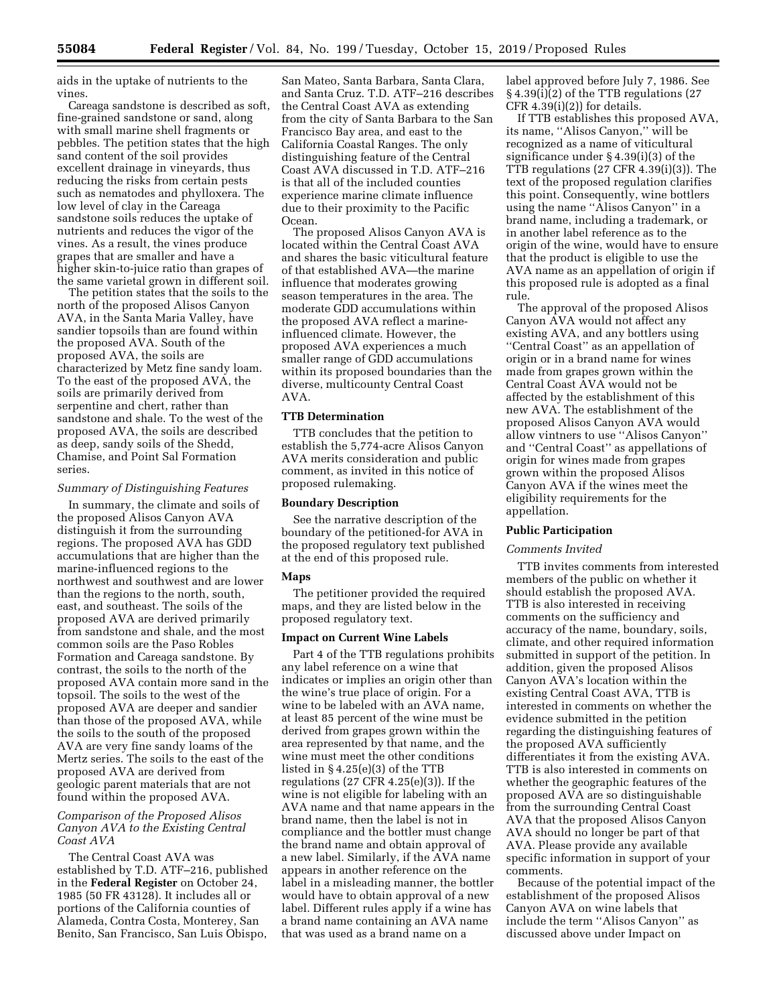aids in the uptake of nutrients to the vines.

Careaga sandstone is described as soft, fine-grained sandstone or sand, along with small marine shell fragments or pebbles. The petition states that the high sand content of the soil provides excellent drainage in vineyards, thus reducing the risks from certain pests such as nematodes and phylloxera. The low level of clay in the Careaga sandstone soils reduces the uptake of nutrients and reduces the vigor of the vines. As a result, the vines produce grapes that are smaller and have a higher skin-to-juice ratio than grapes of the same varietal grown in different soil.

The petition states that the soils to the north of the proposed Alisos Canyon AVA, in the Santa Maria Valley, have sandier topsoils than are found within the proposed AVA. South of the proposed AVA, the soils are characterized by Metz fine sandy loam. To the east of the proposed AVA, the soils are primarily derived from serpentine and chert, rather than sandstone and shale. To the west of the proposed AVA, the soils are described as deep, sandy soils of the Shedd, Chamise, and Point Sal Formation series.

#### *Summary of Distinguishing Features*

In summary, the climate and soils of the proposed Alisos Canyon AVA distinguish it from the surrounding regions. The proposed AVA has GDD accumulations that are higher than the marine-influenced regions to the northwest and southwest and are lower than the regions to the north, south, east, and southeast. The soils of the proposed AVA are derived primarily from sandstone and shale, and the most common soils are the Paso Robles Formation and Careaga sandstone. By contrast, the soils to the north of the proposed AVA contain more sand in the topsoil. The soils to the west of the proposed AVA are deeper and sandier than those of the proposed AVA, while the soils to the south of the proposed AVA are very fine sandy loams of the Mertz series. The soils to the east of the proposed AVA are derived from geologic parent materials that are not found within the proposed AVA.

## *Comparison of the Proposed Alisos Canyon AVA to the Existing Central Coast AVA*

The Central Coast AVA was established by T.D. ATF–216, published in the **Federal Register** on October 24, 1985 (50 FR 43128). It includes all or portions of the California counties of Alameda, Contra Costa, Monterey, San Benito, San Francisco, San Luis Obispo,

San Mateo, Santa Barbara, Santa Clara, and Santa Cruz. T.D. ATF–216 describes the Central Coast AVA as extending from the city of Santa Barbara to the San Francisco Bay area, and east to the California Coastal Ranges. The only distinguishing feature of the Central Coast AVA discussed in T.D. ATF–216 is that all of the included counties experience marine climate influence due to their proximity to the Pacific Ocean.

The proposed Alisos Canyon AVA is located within the Central Coast AVA and shares the basic viticultural feature of that established AVA—the marine influence that moderates growing season temperatures in the area. The moderate GDD accumulations within the proposed AVA reflect a marineinfluenced climate. However, the proposed AVA experiences a much smaller range of GDD accumulations within its proposed boundaries than the diverse, multicounty Central Coast AVA.

## **TTB Determination**

TTB concludes that the petition to establish the 5,774-acre Alisos Canyon AVA merits consideration and public comment, as invited in this notice of proposed rulemaking.

## **Boundary Description**

See the narrative description of the boundary of the petitioned-for AVA in the proposed regulatory text published at the end of this proposed rule.

#### **Maps**

The petitioner provided the required maps, and they are listed below in the proposed regulatory text.

#### **Impact on Current Wine Labels**

Part 4 of the TTB regulations prohibits any label reference on a wine that indicates or implies an origin other than the wine's true place of origin. For a wine to be labeled with an AVA name, at least 85 percent of the wine must be derived from grapes grown within the area represented by that name, and the wine must meet the other conditions listed in § 4.25(e)(3) of the TTB regulations (27 CFR 4.25(e)(3)). If the wine is not eligible for labeling with an AVA name and that name appears in the brand name, then the label is not in compliance and the bottler must change the brand name and obtain approval of a new label. Similarly, if the AVA name appears in another reference on the label in a misleading manner, the bottler would have to obtain approval of a new label. Different rules apply if a wine has a brand name containing an AVA name that was used as a brand name on a

label approved before July 7, 1986. See § 4.39(i)(2) of the TTB regulations (27 CFR  $4.39(i)(2)$  for details.

If TTB establishes this proposed AVA, its name, ''Alisos Canyon,'' will be recognized as a name of viticultural significance under § 4.39(i)(3) of the TTB regulations (27 CFR 4.39(i)(3)). The text of the proposed regulation clarifies this point. Consequently, wine bottlers using the name ''Alisos Canyon'' in a brand name, including a trademark, or in another label reference as to the origin of the wine, would have to ensure that the product is eligible to use the AVA name as an appellation of origin if this proposed rule is adopted as a final rule.

The approval of the proposed Alisos Canyon AVA would not affect any existing AVA, and any bottlers using ''Central Coast'' as an appellation of origin or in a brand name for wines made from grapes grown within the Central Coast AVA would not be affected by the establishment of this new AVA. The establishment of the proposed Alisos Canyon AVA would allow vintners to use ''Alisos Canyon'' and ''Central Coast'' as appellations of origin for wines made from grapes grown within the proposed Alisos Canyon AVA if the wines meet the eligibility requirements for the appellation.

#### **Public Participation**

#### *Comments Invited*

TTB invites comments from interested members of the public on whether it should establish the proposed AVA. TTB is also interested in receiving comments on the sufficiency and accuracy of the name, boundary, soils, climate, and other required information submitted in support of the petition. In addition, given the proposed Alisos Canyon AVA's location within the existing Central Coast AVA, TTB is interested in comments on whether the evidence submitted in the petition regarding the distinguishing features of the proposed AVA sufficiently differentiates it from the existing AVA. TTB is also interested in comments on whether the geographic features of the proposed AVA are so distinguishable from the surrounding Central Coast AVA that the proposed Alisos Canyon AVA should no longer be part of that AVA. Please provide any available specific information in support of your comments.

Because of the potential impact of the establishment of the proposed Alisos Canyon AVA on wine labels that include the term ''Alisos Canyon'' as discussed above under Impact on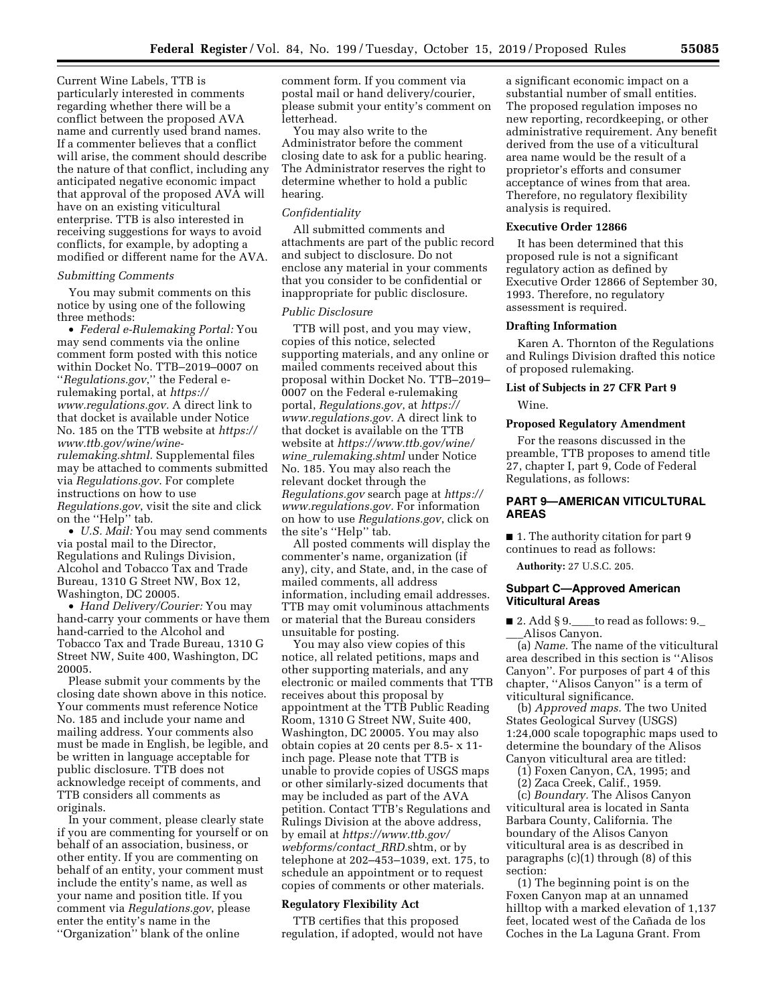Current Wine Labels, TTB is particularly interested in comments regarding whether there will be a conflict between the proposed AVA name and currently used brand names. If a commenter believes that a conflict will arise, the comment should describe the nature of that conflict, including any anticipated negative economic impact that approval of the proposed AVA will have on an existing viticultural enterprise. TTB is also interested in receiving suggestions for ways to avoid conflicts, for example, by adopting a modified or different name for the AVA.

### *Submitting Comments*

You may submit comments on this notice by using one of the following three methods:

• *Federal e-Rulemaking Portal:* You may send comments via the online comment form posted with this notice within Docket No. TTB–2019–0007 on ''*Regulations.gov*,'' the Federal erulemaking portal, at *[https://](https://www.regulations.gov) [www.regulations.gov.](https://www.regulations.gov)* A direct link to that docket is available under Notice No. 185 on the TTB website at *[https://](https://www.ttb.gov/wine/wine-rulemaking.shtml)  [www.ttb.gov/wine/wine](https://www.ttb.gov/wine/wine-rulemaking.shtml)[rulemaking.shtml.](https://www.ttb.gov/wine/wine-rulemaking.shtml)* Supplemental files may be attached to comments submitted via *Regulations.gov*. For complete instructions on how to use *Regulations.gov*, visit the site and click on the ''Help'' tab.

• *U.S. Mail:* You may send comments via postal mail to the Director, Regulations and Rulings Division, Alcohol and Tobacco Tax and Trade Bureau, 1310 G Street NW, Box 12, Washington, DC 20005.

• *Hand Delivery/Courier:* You may hand-carry your comments or have them hand-carried to the Alcohol and Tobacco Tax and Trade Bureau, 1310 G Street NW, Suite 400, Washington, DC 20005.

Please submit your comments by the closing date shown above in this notice. Your comments must reference Notice No. 185 and include your name and mailing address. Your comments also must be made in English, be legible, and be written in language acceptable for public disclosure. TTB does not acknowledge receipt of comments, and TTB considers all comments as originals.

In your comment, please clearly state if you are commenting for yourself or on behalf of an association, business, or other entity. If you are commenting on behalf of an entity, your comment must include the entity's name, as well as your name and position title. If you comment via *Regulations.gov*, please enter the entity's name in the ''Organization'' blank of the online

comment form. If you comment via postal mail or hand delivery/courier, please submit your entity's comment on letterhead.

You may also write to the Administrator before the comment closing date to ask for a public hearing. The Administrator reserves the right to determine whether to hold a public hearing.

#### *Confidentiality*

All submitted comments and attachments are part of the public record and subject to disclosure. Do not enclose any material in your comments that you consider to be confidential or inappropriate for public disclosure.

#### *Public Disclosure*

TTB will post, and you may view, copies of this notice, selected supporting materials, and any online or mailed comments received about this proposal within Docket No. TTB–2019– 0007 on the Federal e-rulemaking portal, *Regulations.gov*, at *[https://](https://www.regulations.gov) [www.regulations.gov.](https://www.regulations.gov)* A direct link to that docket is available on the TTB website at *[https://www.ttb.gov/wine/](https://www.ttb.gov/wine/wine_rulemaking.shtml)  wine*\_*[rulemaking.shtml](https://www.ttb.gov/wine/wine_rulemaking.shtml)* under Notice No. 185. You may also reach the relevant docket through the *Regulations.gov* search page at *[https://](https://www.regulations.gov) [www.regulations.gov.](https://www.regulations.gov)* For information on how to use *Regulations.gov*, click on the site's ''Help'' tab.

All posted comments will display the commenter's name, organization (if any), city, and State, and, in the case of mailed comments, all address information, including email addresses. TTB may omit voluminous attachments or material that the Bureau considers unsuitable for posting.

You may also view copies of this notice, all related petitions, maps and other supporting materials, and any electronic or mailed comments that TTB receives about this proposal by appointment at the TTB Public Reading Room, 1310 G Street NW, Suite 400, Washington, DC 20005. You may also obtain copies at 20 cents per 8.5- x 11 inch page. Please note that TTB is unable to provide copies of USGS maps or other similarly-sized documents that may be included as part of the AVA petition. Contact TTB's Regulations and Rulings Division at the above address, by email at *[https://www.ttb.gov/](https://www.ttb.gov/webforms/contact_RRD)  [webforms/contact](https://www.ttb.gov/webforms/contact_RRD)*\_*RRD.*shtm, or by telephone at 202–453–1039, ext. 175, to schedule an appointment or to request copies of comments or other materials.

## **Regulatory Flexibility Act**

TTB certifies that this proposed regulation, if adopted, would not have a significant economic impact on a substantial number of small entities. The proposed regulation imposes no new reporting, recordkeeping, or other administrative requirement. Any benefit derived from the use of a viticultural area name would be the result of a proprietor's efforts and consumer acceptance of wines from that area. Therefore, no regulatory flexibility analysis is required.

#### **Executive Order 12866**

It has been determined that this proposed rule is not a significant regulatory action as defined by Executive Order 12866 of September 30, 1993. Therefore, no regulatory assessment is required.

#### **Drafting Information**

Karen A. Thornton of the Regulations and Rulings Division drafted this notice of proposed rulemaking.

# **List of Subjects in 27 CFR Part 9**

Wine.

## **Proposed Regulatory Amendment**

For the reasons discussed in the preamble, TTB proposes to amend title 27, chapter I, part 9, Code of Federal Regulations, as follows:

## **PART 9—AMERICAN VITICULTURAL AREAS**

■ 1. The authority citation for part 9 continues to read as follows:

**Authority:** 27 U.S.C. 205.

#### **Subpart C—Approved American Viticultural Areas**

 $\blacksquare$  2. Add § 9. to read as follows: 9. \_\_\_Alisos Canyon.

(a) *Name.* The name of the viticultural area described in this section is ''Alisos Canyon''. For purposes of part 4 of this chapter, ''Alisos Canyon'' is a term of viticultural significance.

(b) *Approved maps.* The two United States Geological Survey (USGS) 1:24,000 scale topographic maps used to determine the boundary of the Alisos Canyon viticultural area are titled:

(1) Foxen Canyon, CA, 1995; and

(2) Zaca Creek, Calif., 1959.

(c) *Boundary.* The Alisos Canyon viticultural area is located in Santa Barbara County, California. The boundary of the Alisos Canyon viticultural area is as described in paragraphs (c)(1) through (8) of this section:

(1) The beginning point is on the Foxen Canyon map at an unnamed hilltop with a marked elevation of 1,137 feet, located west of the Cañada de los Coches in the La Laguna Grant. From